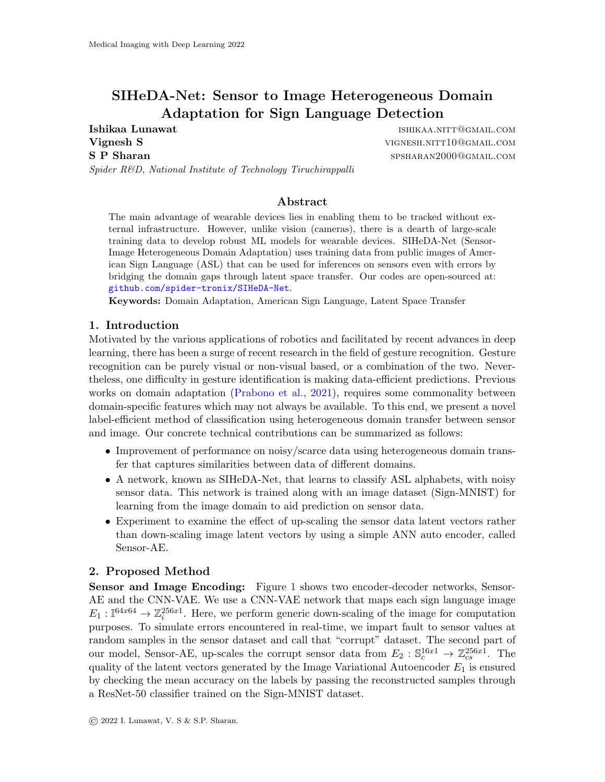# SIHeDA-Net: Sensor to Image Heterogeneous Domain Adaptation for Sign Language Detection

**Vignesh S** views and the vignes of the vignes of the vignes of the vignes of the vignes of the vignes of the vignes of the vignes of the vignes of the vignes of the vignes of the vignes of the vignes of the vignes of the S P Sharan spsharan spsharan2000@gmail.com

Ishikaa Lunawat ishikaa Lunawat ishikaa Lunawat ishikaa muun maan ishikaa muun maan ishikaa muun muun maan ishi

Spider R&D, National Institute of Technology Tiruchirappalli

## Abstract

The main advantage of wearable devices lies in enabling them to be tracked without external infrastructure. However, unlike vision (cameras), there is a dearth of large-scale training data to develop robust ML models for wearable devices. SIHeDA-Net (Sensor-Image Heterogeneous Domain Adaptation) uses training data from public images of American Sign Language (ASL) that can be used for inferences on sensors even with errors by bridging the domain gaps through latent space transfer. Our codes are open-sourced at: [github.com/spider-tronix/SIHeDA-Net](https://github.com/spider-tronix/SIHeDA-Net).

Keywords: Domain Adaptation, American Sign Language, Latent Space Transfer

#### 1. Introduction

Motivated by the various applications of robotics and facilitated by recent advances in deep learning, there has been a surge of recent research in the field of gesture recognition. Gesture recognition can be purely visual or non-visual based, or a combination of the two. Nevertheless, one difficulty in gesture identification is making data-efficient predictions. Previous works on domain adaptation [\(Prabono et al.,](#page-2-0) [2021\)](#page-2-0), requires some commonality between domain-specific features which may not always be available. To this end, we present a novel label-efficient method of classification using heterogeneous domain transfer between sensor and image. Our concrete technical contributions can be summarized as follows:

- Improvement of performance on noisy/scarce data using heterogeneous domain transfer that captures similarities between data of different domains.
- A network, known as SIHeDA-Net, that learns to classify ASL alphabets, with noisy sensor data. This network is trained along with an image dataset (Sign-MNIST) for learning from the image domain to aid prediction on sensor data.
- Experiment to examine the effect of up-scaling the sensor data latent vectors rather than down-scaling image latent vectors by using a simple ANN auto encoder, called Sensor-AE.

### 2. Proposed Method

Sensor and Image Encoding: Figure [1](#page-1-0) shows two encoder-decoder networks, Sensor-AE and the CNN-VAE. We use a CNN-VAE network that maps each sign language image  $E_1: \mathbb{I}^{64x64} \to \mathbb{Z}_i^{256x1}$ . Here, we perform generic down-scaling of the image for computation purposes. To simulate errors encountered in real-time, we impart fault to sensor values at random samples in the sensor dataset and call that "corrupt" dataset. The second part of our model, Sensor-AE, up-scales the corrupt sensor data from  $E_2$ :  $\mathbb{S}_c^{16x1} \to \mathbb{Z}_{cs}^{256x1}$ . The quality of the latent vectors generated by the Image Variational Autoencoder  $E_1$  is ensured by checking the mean accuracy on the labels by passing the reconstructed samples through a ResNet-50 classifier trained on the Sign-MNIST dataset.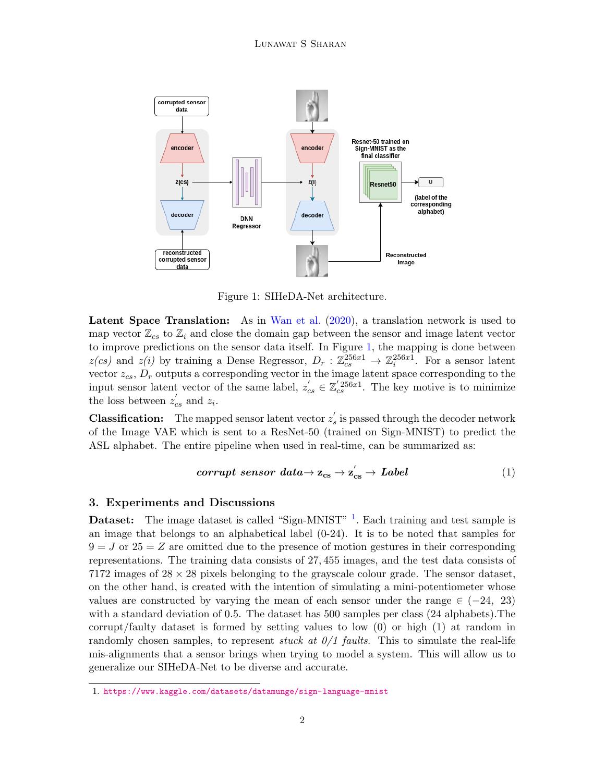

<span id="page-1-0"></span>Figure 1: SIHeDA-Net architecture.

Latent Space Translation: As in [Wan et al.](#page-2-1) [\(2020\)](#page-2-1), a translation network is used to map vector  $\mathbb{Z}_{cs}$  to  $\mathbb{Z}_i$  and close the domain gap between the sensor and image latent vector to improve predictions on the sensor data itself. In Figure [1,](#page-1-0) the mapping is done between  $z(cs)$  and  $z(i)$  by training a Dense Regressor,  $D_r : \mathbb{Z}_{cs}^{256x1} \to \mathbb{Z}_{i}^{256x1}$ . For a sensor latent vector  $z_{cs}$ ,  $D_r$  outputs a corresponding vector in the image latent space corresponding to the input sensor latent vector of the same label,  $z'_{cs} \in \mathbb{Z}'_{cs}^{256x1}$ . The key motive is to minimize the loss between  $z'_{cs}$  and  $z_i$ .

**Classification:** The mapped sensor latent vector  $z'_{s}$  is passed through the decoder network of the Image VAE which is sent to a ResNet-50 (trained on Sign-MNIST) to predict the ASL alphabet. The entire pipeline when used in real-time, can be summarized as:

$$
corrupt\ sensor\ data \rightarrow z_{cs} \rightarrow z_{cs}^{'} \rightarrow Label \qquad (1)
$$

### 3. Experiments and Discussions

**Dataset:** The image dataset is called "Sign-MNIST" <sup>[1](#page-1-1)</sup>. Each training and test sample is an image that belongs to an alphabetical label (0-24). It is to be noted that samples for  $9 = J$  or  $25 = Z$  are omitted due to the presence of motion gestures in their corresponding representations. The training data consists of 27, 455 images, and the test data consists of 7172 images of  $28 \times 28$  pixels belonging to the grayscale colour grade. The sensor dataset, on the other hand, is created with the intention of simulating a mini-potentiometer whose values are constructed by varying the mean of each sensor under the range  $\in (-24, 23)$ with a standard deviation of 0.5. The dataset has 500 samples per class (24 alphabets).The corrupt/faulty dataset is formed by setting values to low (0) or high (1) at random in randomly chosen samples, to represent *stuck at*  $0/1$  *faults*. This to simulate the real-life mis-alignments that a sensor brings when trying to model a system. This will allow us to generalize our SIHeDA-Net to be diverse and accurate.

<span id="page-1-1"></span><sup>1.</sup> <https://www.kaggle.com/datasets/datamunge/sign-language-mnist>